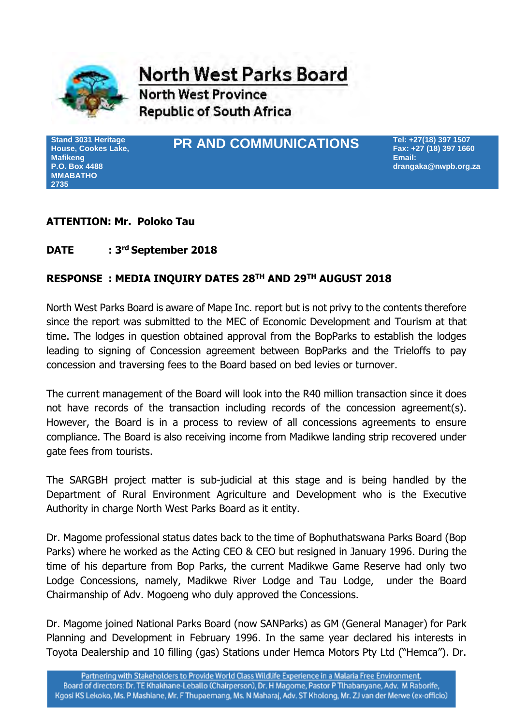

**North West Parks Board** 

**North West Province Republic of South Africa** 

**Stand 3031 Heritage House, Cookes Lake, Mafikeng P.O. Box 4488 MMABATHO 2735**

# **PR AND COMMUNICATIONS**

**Tel: +27(18) 397 1507 Fax: +27 (18) 397 1660 Email: drangaka@nwpb.org.za**

## **ATTENTION: Mr. Poloko Tau**

#### **DATE : 3 rd September 2018**

## **RESPONSE : MEDIA INQUIRY DATES 28TH AND 29TH AUGUST 2018**

North West Parks Board is aware of Mape Inc. report but is not privy to the contents therefore since the report was submitted to the MEC of Economic Development and Tourism at that time. The lodges in question obtained approval from the BopParks to establish the lodges leading to signing of Concession agreement between BopParks and the Trieloffs to pay concession and traversing fees to the Board based on bed levies or turnover.

The current management of the Board will look into the R40 million transaction since it does not have records of the transaction including records of the concession agreement(s). However, the Board is in a process to review of all concessions agreements to ensure compliance. The Board is also receiving income from Madikwe landing strip recovered under gate fees from tourists.

The SARGBH project matter is sub-judicial at this stage and is being handled by the Department of Rural Environment Agriculture and Development who is the Executive Authority in charge North West Parks Board as it entity.

Dr. Magome professional status dates back to the time of Bophuthatswana Parks Board (Bop Parks) where he worked as the Acting CEO & CEO but resigned in January 1996. During the time of his departure from Bop Parks, the current Madikwe Game Reserve had only two Lodge Concessions, namely, Madikwe River Lodge and Tau Lodge, under the Board Chairmanship of Adv. Mogoeng who duly approved the Concessions.

Dr. Magome joined National Parks Board (now SANParks) as GM (General Manager) for Park Planning and Development in February 1996. In the same year declared his interests in Toyota Dealership and 10 filling (gas) Stations under Hemca Motors Pty Ltd ("Hemca"). Dr.